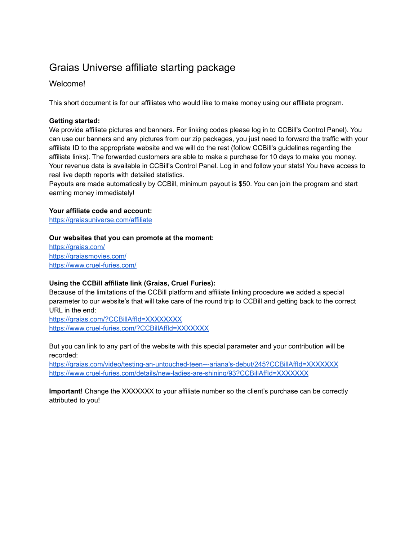# Graias Universe affiliate starting package

# Welcome!

This short document is for our affiliates who would like to make money using our affiliate program.

## **Getting started:**

We provide affiliate pictures and banners. For linking codes please log in to CCBill's Control Panel). You can use our banners and any pictures from our zip packages, you just need to forward the traffic with your affiliate ID to the appropriate website and we will do the rest (follow CCBill's guidelines regarding the affiliate links). The forwarded customers are able to make a purchase for 10 days to make you money. Your revenue data is available in CCBill's Control Panel. Log in and follow your stats! You have access to real live depth reports with detailed statistics.

Payouts are made automatically by CCBill, minimum payout is \$50. You can join the program and start earning money immediately!

## **Your affiliate code and account:**

<https://graiasuniverse.com/affiliate>

#### **Our websites that you can promote at the moment:**

<https://graias.com/> <https://graiasmovies.com/> <https://www.cruel-furies.com/>

#### **Using the CCBill affiliate link (Graias, Cruel Furies):**

Because of the limitations of the CCBill platform and affiliate linking procedure we added a special parameter to our website's that will take care of the round trip to CCBill and getting back to the correct URL in the end:

<https://graias.com/?CCBillAffId=XXXXXXXX> <https://www.cruel-furies.com/?CCBillAffId=XXXXXXX>

But you can link to any part of the website with this special parameter and your contribution will be recorded:

[https://graias.com/video/testing-an-untouched-teen---ariana's-debut/245?CCBillAffId=XXXXXXX](https://graias.com/video/testing-an-untouched-teen---ariana) <https://www.cruel-furies.com/details/new-ladies-are-shining/93?CCBillAffId=XXXXXXX>

**Important!** Change the XXXXXXX to your affiliate number so the client's purchase can be correctly attributed to you!